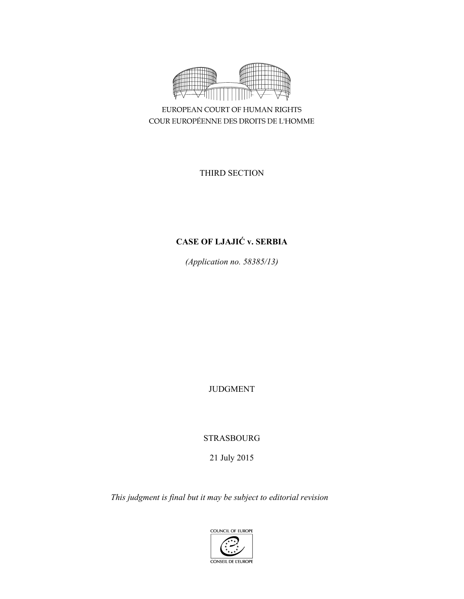

EUROPEAN COURT OF HUMAN RIGHTS COUR EUROPÉENNE DES DROITS DE L'HOMME

THIRD SECTION

# **CASE OF LJAJIĆ v. SERBIA**

*(Application no. 58385/13)* 

JUDGMENT

STRASBOURG

21 July 2015

*This judgment is final but it may be subject to editorial revision*

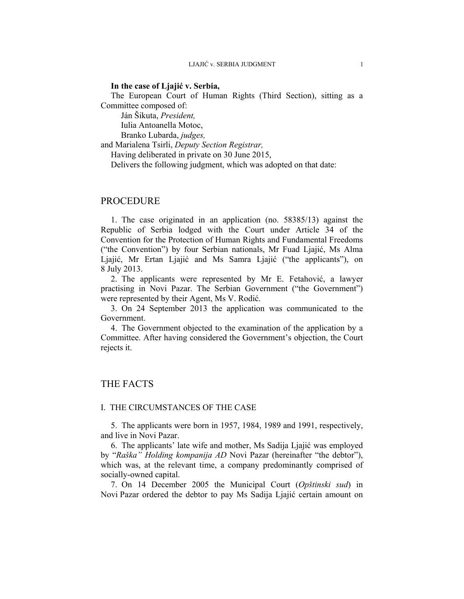#### **In the case of Ljajić v. Serbia,**

The European Court of Human Rights (Third Section), sitting as a Committee composed of:

Ján Šikuta, *President,* 

Iulia Antoanella Motoc,

Branko Lubarda, *judges,*

and Marialena Tsirli, *Deputy Section Registrar,*

Having deliberated in private on 30 June 2015,

Delivers the following judgment, which was adopted on that date:

### PROCEDURE

1. The case originated in an application (no. 58385/13) against the Republic of Serbia lodged with the Court under Article 34 of the Convention for the Protection of Human Rights and Fundamental Freedoms ("the Convention") by four Serbian nationals, Mr Fuad Ljajić, Ms Alma Ljajić, Mr Ertan Ljajić and Ms Samra Ljajić ("the applicants"), on 8 July 2013.

2. The applicants were represented by Mr E. Fetahović, a lawyer practising in Novi Pazar. The Serbian Government ("the Government") were represented by their Agent, Ms V. Rodić.

3. On 24 September 2013 the application was communicated to the Government.

4. The Government objected to the examination of the application by a Committee. After having considered the Government's objection, the Court rejects it.

## THE FACTS

#### I. THE CIRCUMSTANCES OF THE CASE

5. The applicants were born in 1957, 1984, 1989 and 1991, respectively, and live in Novi Pazar.

6. The applicants' late wife and mother, Ms Sadija Ljajić was employed by "*Raška" Holding kompanija AD* Novi Pazar (hereinafter "the debtor"), which was, at the relevant time, a company predominantly comprised of socially-owned capital.

7. On 14 December 2005 the Municipal Court (*Opštinski sud*) in Novi Pazar ordered the debtor to pay Ms Sadija Ljajić certain amount on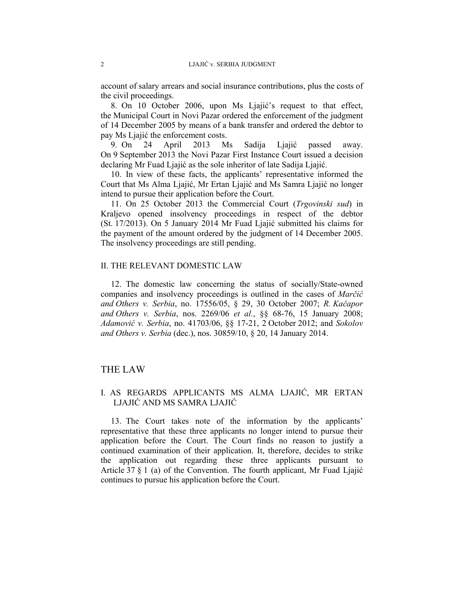account of salary arrears and social insurance contributions, plus the costs of the civil proceedings.

8. On 10 October 2006, upon Ms Ljajić's request to that effect, the Municipal Court in Novi Pazar ordered the enforcement of the judgment of 14 December 2005 by means of a bank transfer and ordered the debtor to pay Ms Ljajić the enforcement costs.

9. On 24 April 2013 Ms Sadija Ljajić passed away. On 9 September 2013 the Novi Pazar First Instance Court issued a decision declaring Mr Fuad Ljajić as the sole inheritor of late Sadija Ljajić.

10. In view of these facts, the applicants' representative informed the Court that Ms Alma Ljajić, Mr Ertan Ljajić and Ms Samra Ljajić no longer intend to pursue their application before the Court.

11. On 25 October 2013 the Commercial Court (*Trgovinski sud*) in Kraljevo opened insolvency proceedings in respect of the debtor (St. 17/2013). On 5 January 2014 Mr Fuad Ljajić submitted his claims for the payment of the amount ordered by the judgment of 14 December 2005. The insolvency proceedings are still pending.

### II. THE RELEVANT DOMESTIC LAW

12. The domestic law concerning the status of socially/State-owned companies and insolvency proceedings is outlined in the cases of *Marčić and Others v. Serbia*, no. 17556/05, § 29, 30 October 2007; *R. Kačapor and Others v. Serbia*, nos. 2269/06 *et al.*, §§ 68-76, 15 January 2008; *Adamović v. Serbia*, no. 41703/06, §§ 17-21, 2 October 2012; and *Sokolov and Others v. Serbia* (dec.), nos. 30859/10, § 20, 14 January 2014.

### THE LAW

### I. AS REGARDS APPLICANTS MS ALMA LJAJIĆ, MR ERTAN LJAJIĆ AND MS SAMRA LJAJIĆ

13. The Court takes note of the information by the applicants' representative that these three applicants no longer intend to pursue their application before the Court. The Court finds no reason to justify a continued examination of their application. It, therefore, decides to strike the application out regarding these three applicants pursuant to Article 37 § 1 (a) of the Convention. The fourth applicant, Mr Fuad Ljajić continues to pursue his application before the Court.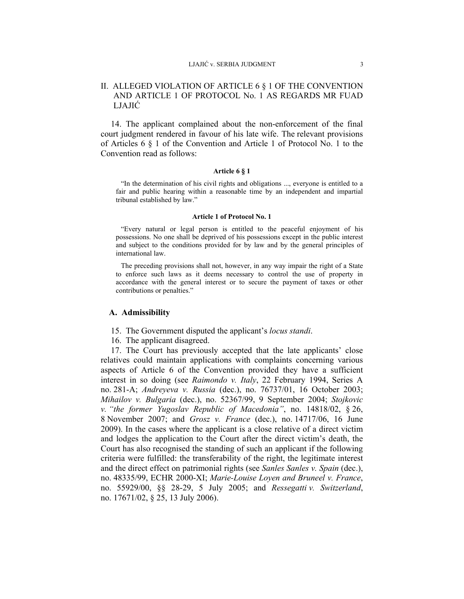#### LJAJIĆ v. SERBIA JUDGMENT 3

### II. ALLEGED VIOLATION OF ARTICLE 6 § 1 OF THE CONVENTION AND ARTICLE 1 OF PROTOCOL No. 1 AS REGARDS MR FUAD LJAJIĆ

14. The applicant complained about the non-enforcement of the final court judgment rendered in favour of his late wife. The relevant provisions of Articles 6 § 1 of the Convention and Article 1 of Protocol No. 1 to the Convention read as follows:

#### **Article 6 § 1**

"In the determination of his civil rights and obligations ..., everyone is entitled to a fair and public hearing within a reasonable time by an independent and impartial tribunal established by law."

#### **Article 1 of Protocol No. 1**

"Every natural or legal person is entitled to the peaceful enjoyment of his possessions. No one shall be deprived of his possessions except in the public interest and subject to the conditions provided for by law and by the general principles of international law.

The preceding provisions shall not, however, in any way impair the right of a State to enforce such laws as it deems necessary to control the use of property in accordance with the general interest or to secure the payment of taxes or other contributions or penalties."

#### **A. Admissibility**

- 15. The Government disputed the applicant's *locus standi*.
- 16. The applicant disagreed.

17. The Court has previously accepted that the late applicants' close relatives could maintain applications with complaints concerning various aspects of Article 6 of the Convention provided they have a sufficient interest in so doing (see *Raimondo v. Italy*, 22 February 1994, Series A no. 281-A; *Andreyeva v. Russia* (dec.), no. 76737/01, 16 October 2003; *Mihailov v. Bulgaria* (dec.), no. 52367/99, 9 September 2004; *Stojkovic v. "the former Yugoslav Republic of Macedonia"*, no. 14818/02, § 26, 8 November 2007; and *Grosz v. France* (dec.), no. 14717/06, 16 June 2009). In the cases where the applicant is a close relative of a direct victim and lodges the application to the Court after the direct victim's death, the Court has also recognised the standing of such an applicant if the following criteria were fulfilled: the transferability of the right, the legitimate interest and the direct effect on patrimonial rights (see *Sanles Sanles v. Spain* (dec.), no. 48335/99, ECHR 2000-XI; *Marie-Louise Loyen and Bruneel v. France*, no. 55929/00, §§ 28-29, 5 July 2005; and *Ressegatti v. Switzerland*, no. 17671/02, § 25, 13 July 2006).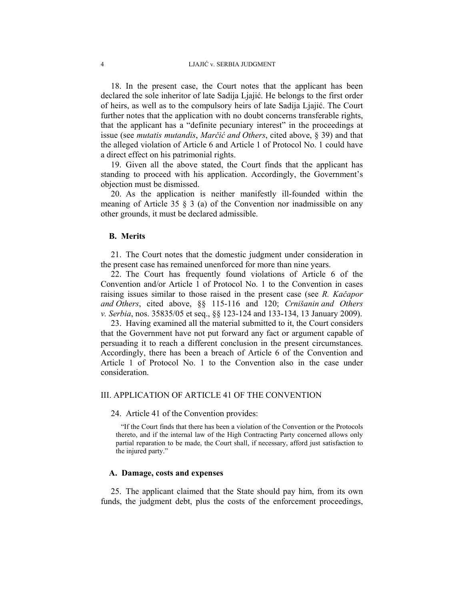18. In the present case, the Court notes that the applicant has been declared the sole inheritor of late Sadija Ljajić. He belongs to the first order of heirs, as well as to the compulsory heirs of late Sadija Ljajić. The Court further notes that the application with no doubt concerns transferable rights, that the applicant has a "definite pecuniary interest" in the proceedings at issue (see *mutatis mutandis*, *Marčić and Others*, cited above, § 39) and that the alleged violation of Article 6 and Article 1 of Protocol No. 1 could have a direct effect on his patrimonial rights.

19. Given all the above stated, the Court finds that the applicant has standing to proceed with his application. Accordingly, the Government's objection must be dismissed.

20. As the application is neither manifestly ill-founded within the meaning of Article 35  $\S$  3 (a) of the Convention nor inadmissible on any other grounds, it must be declared admissible.

### **B. Merits**

21. The Court notes that the domestic judgment under consideration in the present case has remained unenforced for more than nine years.

22. The Court has frequently found violations of Article 6 of the Convention and/or Article 1 of Protocol No. 1 to the Convention in cases raising issues similar to those raised in the present case (see *R. Kačapor and Others*, cited above, §§ 115-116 and 120; *Crnišanin and Others v. Serbia*, nos. 35835/05 et seq., §§ 123-124 and 133-134, 13 January 2009).

23. Having examined all the material submitted to it, the Court considers that the Government have not put forward any fact or argument capable of persuading it to reach a different conclusion in the present circumstances. Accordingly, there has been a breach of Article 6 of the Convention and Article 1 of Protocol No. 1 to the Convention also in the case under consideration.

#### III. APPLICATION OF ARTICLE 41 OF THE CONVENTION

24. Article 41 of the Convention provides:

"If the Court finds that there has been a violation of the Convention or the Protocols thereto, and if the internal law of the High Contracting Party concerned allows only partial reparation to be made, the Court shall, if necessary, afford just satisfaction to the injured party."

#### **A. Damage, costs and expenses**

25. The applicant claimed that the State should pay him, from its own funds, the judgment debt, plus the costs of the enforcement proceedings,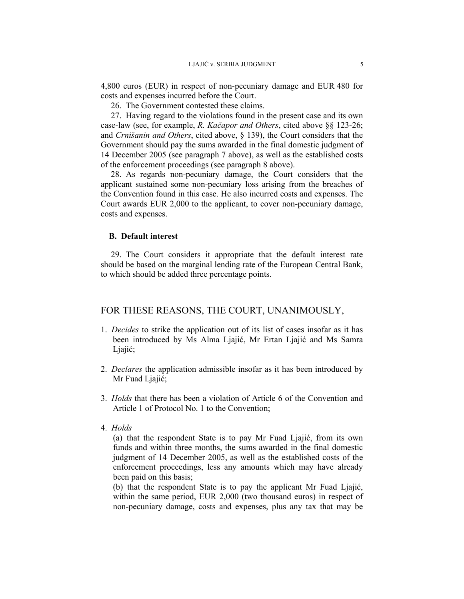4,800 euros (EUR) in respect of non-pecuniary damage and EUR 480 for costs and expenses incurred before the Court.

26. The Government contested these claims.

27. Having regard to the violations found in the present case and its own case-law (see, for example, *R. Kačapor and Others*, cited above §§ 123-26; and *Crnišanin and Others*, cited above, § 139), the Court considers that the Government should pay the sums awarded in the final domestic judgment of 14 December 2005 (see paragraph 7 above), as well as the established costs of the enforcement proceedings (see paragraph 8 above).

28. As regards non-pecuniary damage, the Court considers that the applicant sustained some non-pecuniary loss arising from the breaches of the Convention found in this case. He also incurred costs and expenses. The Court awards EUR 2,000 to the applicant, to cover non-pecuniary damage, costs and expenses.

### **B. Default interest**

29. The Court considers it appropriate that the default interest rate should be based on the marginal lending rate of the European Central Bank, to which should be added three percentage points.

# FOR THESE REASONS, THE COURT, UNANIMOUSLY,

- 1. *Decides* to strike the application out of its list of cases insofar as it has been introduced by Ms Alma Ljajić, Mr Ertan Ljajić and Ms Samra Ljajić;
- 2. *Declares* the application admissible insofar as it has been introduced by Mr Fuad Ljajić;
- 3. *Holds* that there has been a violation of Article 6 of the Convention and Article 1 of Protocol No. 1 to the Convention;
- 4. *Holds*

(a) that the respondent State is to pay Mr Fuad Ljajić, from its own funds and within three months, the sums awarded in the final domestic judgment of 14 December 2005, as well as the established costs of the enforcement proceedings, less any amounts which may have already been paid on this basis;

(b) that the respondent State is to pay the applicant Mr Fuad Ljajić, within the same period, EUR 2,000 (two thousand euros) in respect of non-pecuniary damage, costs and expenses, plus any tax that may be